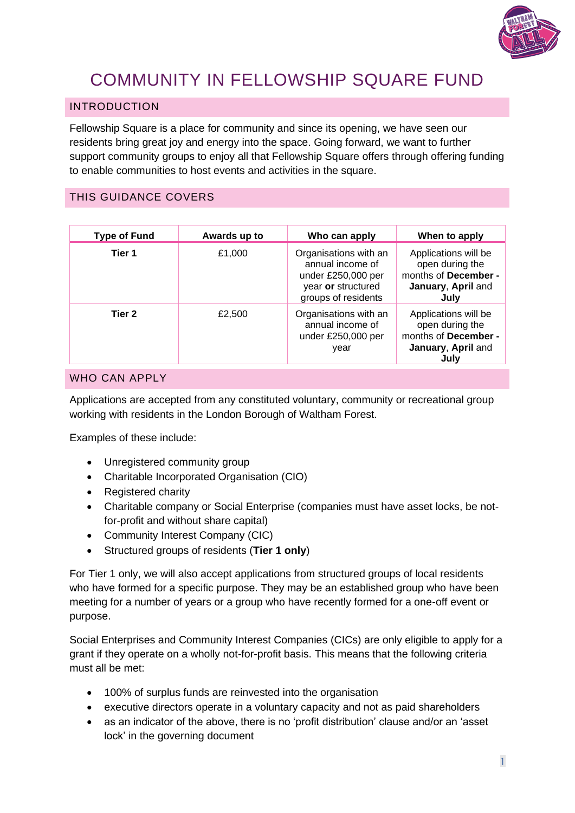

# COMMUNITY IN FELLOWSHIP SQUARE FUND

# INTRODUCTION

Fellowship Square is a place for community and since its opening, we have seen our residents bring great joy and energy into the space. Going forward, we want to further support community groups to enjoy all that Fellowship Square offers through offering funding to enable communities to host events and activities in the square.

# THIS GUIDANCE COVERS

| <b>Type of Fund</b> | Awards up to | Who can apply                                                                                                | When to apply                                                                                 |
|---------------------|--------------|--------------------------------------------------------------------------------------------------------------|-----------------------------------------------------------------------------------------------|
| Tier 1              | £1,000       | Organisations with an<br>annual income of<br>under £250,000 per<br>year or structured<br>groups of residents | Applications will be<br>open during the<br>months of December -<br>January, April and<br>July |
| Tier 2              | £2,500       | Organisations with an<br>annual income of<br>under £250,000 per<br>year                                      | Applications will be<br>open during the<br>months of December -<br>January, April and<br>July |

#### WHO CAN APPLY

Applications are accepted from any constituted voluntary, community or recreational group working with residents in the London Borough of Waltham Forest.

Examples of these include:

- Unregistered community group
- Charitable Incorporated Organisation (CIO)
- Registered charity
- Charitable company or Social Enterprise (companies must have asset locks, be notfor-profit and without share capital)
- Community Interest Company (CIC)
- Structured groups of residents (**Tier 1 only**)

For Tier 1 only, we will also accept applications from structured groups of local residents who have formed for a specific purpose. They may be an established group who have been meeting for a number of years or a group who have recently formed for a one-off event or purpose.

Social Enterprises and Community Interest Companies (CICs) are only eligible to apply for a grant if they operate on a wholly not-for-profit basis. This means that the following criteria must all be met:

- 100% of surplus funds are reinvested into the organisation
- executive directors operate in a voluntary capacity and not as paid shareholders
- as an indicator of the above, there is no 'profit distribution' clause and/or an 'asset lock' in the governing document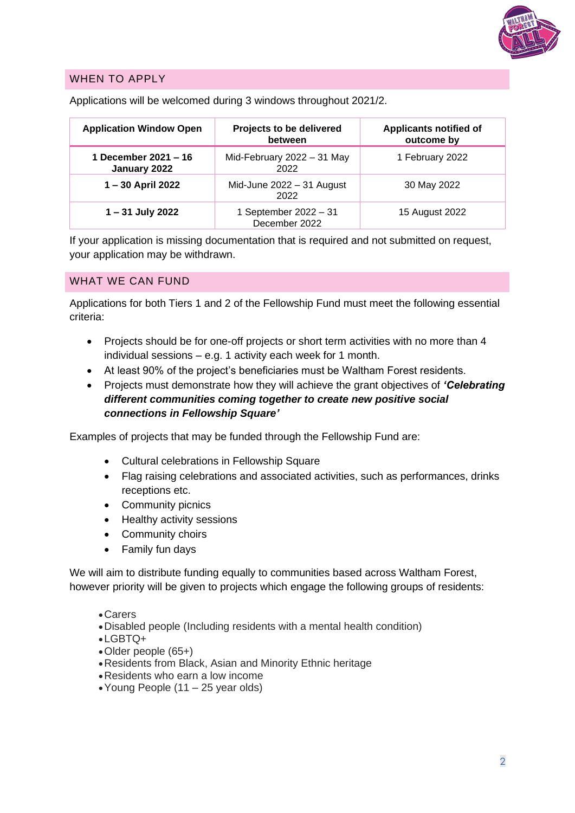

# WHEN TO APPLY

| <b>Application Window Open</b>       | Projects to be delivered<br>between    | <b>Applicants notified of</b><br>outcome by |
|--------------------------------------|----------------------------------------|---------------------------------------------|
| 1 December 2021 - 16<br>January 2022 | Mid-February 2022 - 31 May<br>2022     | 1 February 2022                             |
| 1-30 April 2022                      | Mid-June 2022 - 31 August<br>2022      | 30 May 2022                                 |
| 1 - 31 July 2022                     | 1 September 2022 - 31<br>December 2022 | 15 August 2022                              |

Applications will be welcomed during 3 windows throughout 2021/2.

If your application is missing documentation that is required and not submitted on request, your application may be withdrawn.

#### WHAT WE CAN FUND

Applications for both Tiers 1 and 2 of the Fellowship Fund must meet the following essential criteria:

- Projects should be for one-off projects or short term activities with no more than 4 individual sessions – e.g. 1 activity each week for 1 month.
- At least 90% of the project's beneficiaries must be Waltham Forest residents.
- Projects must demonstrate how they will achieve the grant objectives of *'Celebrating different communities coming together to create new positive social connections in Fellowship Square'*

Examples of projects that may be funded through the Fellowship Fund are:

- Cultural celebrations in Fellowship Square
- Flag raising celebrations and associated activities, such as performances, drinks receptions etc.
- Community picnics
- Healthy activity sessions
- Community choirs
- Family fun days

We will aim to distribute funding equally to communities based across Waltham Forest, however priority will be given to projects which engage the following groups of residents:

- •Carers
- •Disabled people (Including residents with a mental health condition)
- •LGBTQ+
- •Older people (65+)
- •Residents from Black, Asian and Minority Ethnic heritage
- •Residents who earn a low income
- •Young People (11 25 year olds)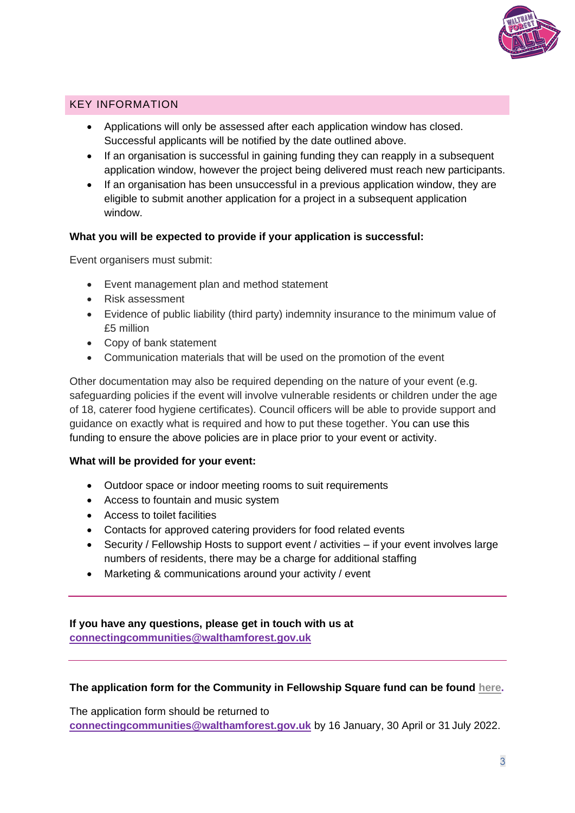

# KEY INFORMATION

- Applications will only be assessed after each application window has closed. Successful applicants will be notified by the date outlined above.
- If an organisation is successful in gaining funding they can reapply in a subsequent application window, however the project being delivered must reach new participants.
- If an organisation has been unsuccessful in a previous application window, they are eligible to submit another application for a project in a subsequent application window.

#### **What you will be expected to provide if your application is successful:**

Event organisers must submit:

- Event management plan and method statement
- Risk assessment
- Evidence of public liability (third party) indemnity insurance to the minimum value of £5 million
- Copy of bank statement
- Communication materials that will be used on the promotion of the event

Other documentation may also be required depending on the nature of your event (e.g. safeguarding policies if the event will involve vulnerable residents or children under the age of 18, caterer food hygiene certificates). Council officers will be able to provide support and guidance on exactly what is required and how to put these together. You can use this funding to ensure the above policies are in place prior to your event or activity.

#### **What will be provided for your event:**

- Outdoor space or indoor meeting rooms to suit requirements
- Access to fountain and music system
- Access to toilet facilities
- Contacts for approved catering providers for food related events
- Security / Fellowship Hosts to support event / activities if your event involves large numbers of residents, there may be a charge for additional staffing
- Marketing & communications around your activity / event

**If you have any questions, please get in touch with us at [connectingcommunities@walthamforest.gov.uk](mailto:connectingcommunities@walthamforest.gov.uk)**

#### **The application form for the Community in Fellowship Square fund can be found [here.](https://www.walthamforest.gov.uk/community-fellowship-square-fund)**

The application form should be returned to **[connectingcommunities@walthamforest.gov.uk](mailto:connectingcommunities@walthamforest.gov.uk)** by 16 January, 30 April or 31 July 2022.